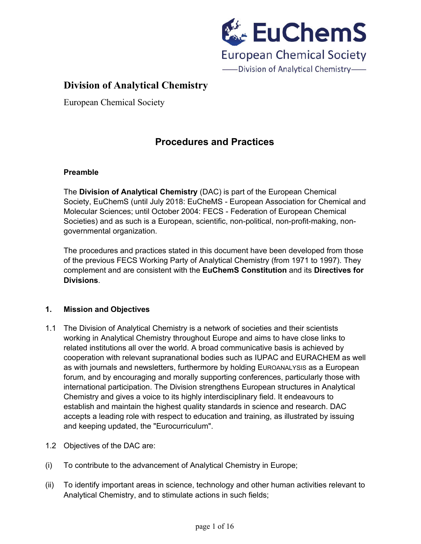

European Chemical Society

## **Procedures and Practices**

### **Preamble**

The **Division of Analytical Chemistry** (DAC) is part of the European Chemical Society, EuChemS (until July 2018: EuCheMS - European Association for Chemical and Molecular Sciences; until October 2004: FECS - Federation of European Chemical Societies) and as such is a European, scientific, non-political, non-profit-making, nongovernmental organization.

The procedures and practices stated in this document have been developed from those of the previous FECS Working Party of Analytical Chemistry (from 1971 to 1997). They complement and are consistent with the **EuChemS Constitution** and its **Directives for Divisions**.

### **1. Mission and Objectives**

- 1.1 The Division of Analytical Chemistry is a network of societies and their scientists working in Analytical Chemistry throughout Europe and aims to have close links to related institutions all over the world. A broad communicative basis is achieved by cooperation with relevant supranational bodies such as IUPAC and EURACHEM as well as with journals and newsletters, furthermore by holding EUROANALYSIS as a European forum, and by encouraging and morally supporting conferences, particularly those with international participation. The Division strengthens European structures in Analytical Chemistry and gives a voice to its highly interdisciplinary field. It endeavours to establish and maintain the highest quality standards in science and research. DAC accepts a leading role with respect to education and training, as illustrated by issuing and keeping updated, the "Eurocurriculum".
- 1.2 Objectives of the DAC are:
- (i) To contribute to the advancement of Analytical Chemistry in Europe;
- (ii) To identify important areas in science, technology and other human activities relevant to Analytical Chemistry, and to stimulate actions in such fields;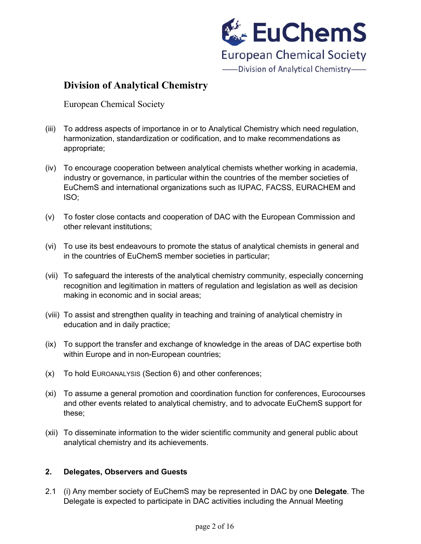

European Chemical Society

- (iii) To address aspects of importance in or to Analytical Chemistry which need regulation, harmonization, standardization or codification, and to make recommendations as appropriate;
- (iv) To encourage cooperation between analytical chemists whether working in academia, industry or governance, in particular within the countries of the member societies of EuChemS and international organizations such as IUPAC, FACSS, EURACHEM and ISO;
- (v) To foster close contacts and cooperation of DAC with the European Commission and other relevant institutions;
- (vi) To use its best endeavours to promote the status of analytical chemists in general and in the countries of EuChemS member societies in particular;
- (vii) To safeguard the interests of the analytical chemistry community, especially concerning recognition and legitimation in matters of regulation and legislation as well as decision making in economic and in social areas;
- (viii) To assist and strengthen quality in teaching and training of analytical chemistry in education and in daily practice;
- (ix) To support the transfer and exchange of knowledge in the areas of DAC expertise both within Europe and in non-European countries;
- (x) To hold EUROANALYSIS (Section 6) and other conferences;
- (xi) To assume a general promotion and coordination function for conferences, Eurocourses and other events related to analytical chemistry, and to advocate EuChemS support for these;
- (xii) To disseminate information to the wider scientific community and general public about analytical chemistry and its achievements.

### **2. Delegates, Observers and Guests**

2.1 (i) Any member society of EuChemS may be represented in DAC by one **Delegate**. The Delegate is expected to participate in DAC activities including the Annual Meeting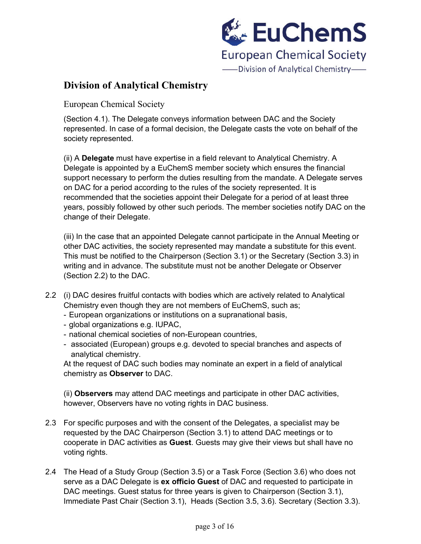

European Chemical Society

(Section 4.1). The Delegate conveys information between DAC and the Society represented. In case of a formal decision, the Delegate casts the vote on behalf of the society represented.

(ii) A **Delegate** must have expertise in a field relevant to Analytical Chemistry. A Delegate is appointed by a EuChemS member society which ensures the financial support necessary to perform the duties resulting from the mandate. A Delegate serves on DAC for a period according to the rules of the society represented. It is recommended that the societies appoint their Delegate for a period of at least three years, possibly followed by other such periods. The member societies notify DAC on the change of their Delegate.

(iii) In the case that an appointed Delegate cannot participate in the Annual Meeting or other DAC activities, the society represented may mandate a substitute for this event. This must be notified to the Chairperson (Section 3.1) or the Secretary (Section 3.3) in writing and in advance. The substitute must not be another Delegate or Observer (Section 2.2) to the DAC.

- 2.2 (i) DAC desires fruitful contacts with bodies which are actively related to Analytical Chemistry even though they are not members of EuChemS, such as;
	- European organizations or institutions on a supranational basis,
	- global organizations e.g. IUPAC,
	- national chemical societies of non-European countries,
	- associated (European) groups e.g. devoted to special branches and aspects of analytical chemistry.

At the request of DAC such bodies may nominate an expert in a field of analytical chemistry as **Observer** to DAC.

(ii) **Observers** may attend DAC meetings and participate in other DAC activities, however, Observers have no voting rights in DAC business.

- 2.3 For specific purposes and with the consent of the Delegates, a specialist may be requested by the DAC Chairperson (Section 3.1) to attend DAC meetings or to cooperate in DAC activities as **Guest**. Guests may give their views but shall have no voting rights.
- 2.4 The Head of a Study Group (Section 3.5) or a Task Force (Section 3.6) who does not serve as a DAC Delegate is **ex officio Guest** of DAC and requested to participate in DAC meetings. Guest status for three years is given to Chairperson (Section 3.1), Immediate Past Chair (Section 3.1), Heads (Section 3.5, 3.6). Secretary (Section 3.3).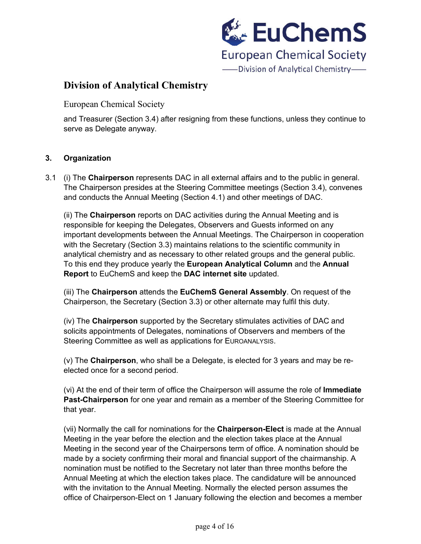

European Chemical Society

and Treasurer (Section 3.4) after resigning from these functions, unless they continue to serve as Delegate anyway.

### **3. Organization**

3.1 (i) The **Chairperson** represents DAC in all external affairs and to the public in general. The Chairperson presides at the Steering Committee meetings (Section 3.4), convenes and conducts the Annual Meeting (Section 4.1) and other meetings of DAC.

(ii) The **Chairperson** reports on DAC activities during the Annual Meeting and is responsible for keeping the Delegates, Observers and Guests informed on any important developments between the Annual Meetings. The Chairperson in cooperation with the Secretary (Section 3.3) maintains relations to the scientific community in analytical chemistry and as necessary to other related groups and the general public. To this end they produce yearly the **European Analytical Column** and the **Annual Report** to EuChemS and keep the **DAC internet site** updated.

(iii) The **Chairperson** attends the **EuChemS General Assembly**. On request of the Chairperson, the Secretary (Section 3.3) or other alternate may fulfil this duty.

(iv) The **Chairperson** supported by the Secretary stimulates activities of DAC and solicits appointments of Delegates, nominations of Observers and members of the Steering Committee as well as applications for EUROANALYSIS.

(v) The **Chairperson**, who shall be a Delegate, is elected for 3 years and may be reelected once for a second period.

(vi) At the end of their term of office the Chairperson will assume the role of **Immediate Past-Chairperson** for one year and remain as a member of the Steering Committee for that year.

(vii) Normally the call for nominations for the **Chairperson-Elect** is made at the Annual Meeting in the year before the election and the election takes place at the Annual Meeting in the second year of the Chairpersons term of office. A nomination should be made by a society confirming their moral and financial support of the chairmanship. A nomination must be notified to the Secretary not later than three months before the Annual Meeting at which the election takes place. The candidature will be announced with the invitation to the Annual Meeting. Normally the elected person assumes the office of Chairperson-Elect on 1 January following the election and becomes a member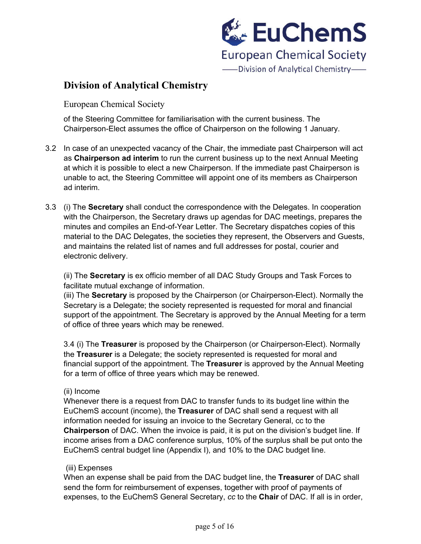

European Chemical Society

of the Steering Committee for familiarisation with the current business. The Chairperson-Elect assumes the office of Chairperson on the following 1 January.

- 3.2 In case of an unexpected vacancy of the Chair, the immediate past Chairperson will act as **Chairperson ad interim** to run the current business up to the next Annual Meeting at which it is possible to elect a new Chairperson. If the immediate past Chairperson is unable to act, the Steering Committee will appoint one of its members as Chairperson ad interim.
- 3.3 (i) The **Secretary** shall conduct the correspondence with the Delegates. In cooperation with the Chairperson, the Secretary draws up agendas for DAC meetings, prepares the minutes and compiles an End-of-Year Letter. The Secretary dispatches copies of this material to the DAC Delegates, the societies they represent, the Observers and Guests, and maintains the related list of names and full addresses for postal, courier and electronic delivery.

(ii) The **Secretary** is ex officio member of all DAC Study Groups and Task Forces to facilitate mutual exchange of information.

(iii) The **Secretary** is proposed by the Chairperson (or Chairperson-Elect). Normally the Secretary is a Delegate; the society represented is requested for moral and financial support of the appointment. The Secretary is approved by the Annual Meeting for a term of office of three years which may be renewed.

3.4 (i) The **Treasurer** is proposed by the Chairperson (or Chairperson-Elect). Normally the **Treasurer** is a Delegate; the society represented is requested for moral and financial support of the appointment. The **Treasurer** is approved by the Annual Meeting for a term of office of three years which may be renewed.

#### (ii) Income

Whenever there is a request from DAC to transfer funds to its budget line within the EuChemS account (income), the **Treasurer** of DAC shall send a request with all information needed for issuing an invoice to the Secretary General, cc to the **Chairperson** of DAC. When the invoice is paid, it is put on the division's budget line. If income arises from a DAC conference surplus, 10% of the surplus shall be put onto the EuChemS central budget line (Appendix I), and 10% to the DAC budget line.

#### (iii) Expenses

When an expense shall be paid from the DAC budget line, the **Treasurer** of DAC shall send the form for reimbursement of expenses, together with proof of payments of expenses, to the EuChemS General Secretary, *cc* to the **Chair** of DAC. If all is in order,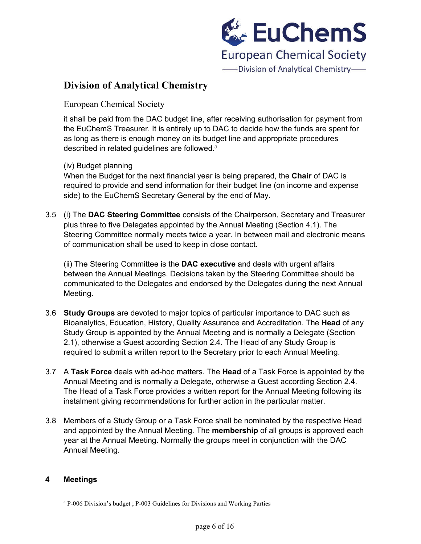

European Chemical Society

it shall be paid from the DAC budget line, after receiving authorisation for payment from the EuChemS Treasurer. It is entirely up to DAC to decide how the funds are spent for as long as there is enough money on its budget line and appropriate procedures described in related guidelines are followed.<sup>a</sup>

(iv) Budget planning

When the Budget for the next financial year is being prepared, the **Chair** of DAC is required to provide and send information for their budget line (on income and expense side) to the EuChemS Secretary General by the end of May.

3.5 (i) The **DAC Steering Committee** consists of the Chairperson, Secretary and Treasurer plus three to five Delegates appointed by the Annual Meeting (Section 4.1). The Steering Committee normally meets twice a year. In between mail and electronic means of communication shall be used to keep in close contact.

(ii) The Steering Committee is the **DAC executive** and deals with urgent affairs between the Annual Meetings. Decisions taken by the Steering Committee should be communicated to the Delegates and endorsed by the Delegates during the next Annual Meeting.

- 3.6 **Study Groups** are devoted to major topics of particular importance to DAC such as Bioanalytics, Education, History, Quality Assurance and Accreditation. The **Head** of any Study Group is appointed by the Annual Meeting and is normally a Delegate (Section 2.1), otherwise a Guest according Section 2.4. The Head of any Study Group is required to submit a written report to the Secretary prior to each Annual Meeting.
- 3.7 A **Task Force** deals with ad-hoc matters. The **Head** of a Task Force is appointed by the Annual Meeting and is normally a Delegate, otherwise a Guest according Section 2.4. The Head of a Task Force provides a written report for the Annual Meeting following its instalment giving recommendations for further action in the particular matter.
- 3.8 Members of a Study Group or a Task Force shall be nominated by the respective Head and appointed by the Annual Meeting. The **membership** of all groups is approved each year at the Annual Meeting. Normally the groups meet in conjunction with the DAC Annual Meeting.

### **4 Meetings**

<sup>a</sup> P-006 Division's budget ; P-003 Guidelines for Divisions and Working Parties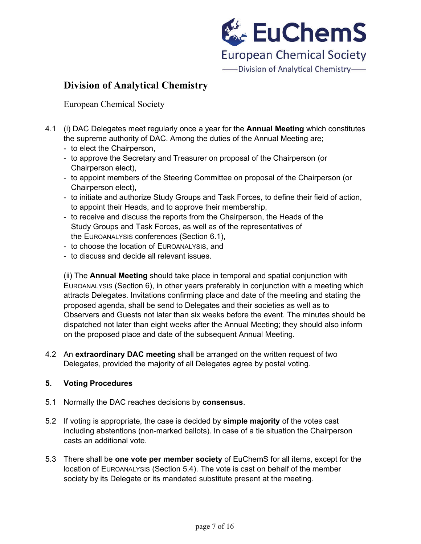

European Chemical Society

- 4.1 (i) DAC Delegates meet regularly once a year for the **Annual Meeting** which constitutes the supreme authority of DAC. Among the duties of the Annual Meeting are;
	- to elect the Chairperson,
	- to approve the Secretary and Treasurer on proposal of the Chairperson (or Chairperson elect),
	- to appoint members of the Steering Committee on proposal of the Chairperson (or Chairperson elect),
	- to initiate and authorize Study Groups and Task Forces, to define their field of action, to appoint their Heads, and to approve their membership,
	- to receive and discuss the reports from the Chairperson, the Heads of the Study Groups and Task Forces, as well as of the representatives of the EUROANALYSIS conferences (Section 6.1),
	- to choose the location of EUROANALYSIS, and
	- to discuss and decide all relevant issues.

(ii) The **Annual Meeting** should take place in temporal and spatial conjunction with EUROANALYSIS (Section 6), in other years preferably in conjunction with a meeting which attracts Delegates. Invitations confirming place and date of the meeting and stating the proposed agenda, shall be send to Delegates and their societies as well as to Observers and Guests not later than six weeks before the event. The minutes should be dispatched not later than eight weeks after the Annual Meeting; they should also inform on the proposed place and date of the subsequent Annual Meeting.

4.2 An **extraordinary DAC meeting** shall be arranged on the written request of two Delegates, provided the majority of all Delegates agree by postal voting.

### **5. Voting Procedures**

- 5.1 Normally the DAC reaches decisions by **consensus**.
- 5.2 If voting is appropriate, the case is decided by **simple majority** of the votes cast including abstentions (non-marked ballots). In case of a tie situation the Chairperson casts an additional vote.
- 5.3 There shall be **one vote per member society** of EuChemS for all items, except for the location of EUROANALYSIS (Section 5.4). The vote is cast on behalf of the member society by its Delegate or its mandated substitute present at the meeting.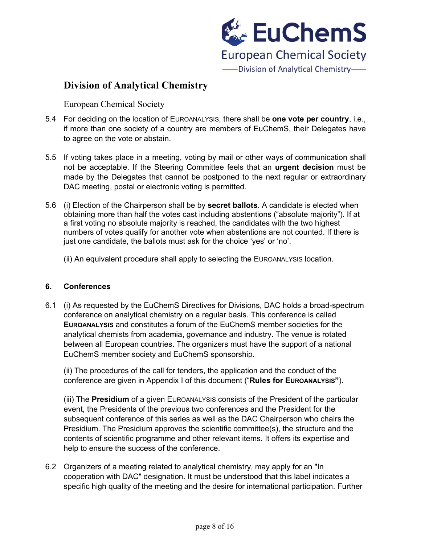

European Chemical Society

- 5.4 For deciding on the location of EUROANALYSIS, there shall be **one vote per country**, i.e., if more than one society of a country are members of EuChemS, their Delegates have to agree on the vote or abstain.
- 5.5 If voting takes place in a meeting, voting by mail or other ways of communication shall not be acceptable. If the Steering Committee feels that an **urgent decision** must be made by the Delegates that cannot be postponed to the next regular or extraordinary DAC meeting, postal or electronic voting is permitted.
- 5.6 (i) Election of the Chairperson shall be by **secret ballots**. A candidate is elected when obtaining more than half the votes cast including abstentions ("absolute majority"). If at a first voting no absolute majority is reached, the candidates with the two highest numbers of votes qualify for another vote when abstentions are not counted. If there is just one candidate, the ballots must ask for the choice 'yes' or 'no'.

(ii) An equivalent procedure shall apply to selecting the EUROANALYSIS location.

#### **6. Conferences**

6.1 (i) As requested by the EuChemS Directives for Divisions, DAC holds a broad-spectrum conference on analytical chemistry on a regular basis. This conference is called **EUROANALYSIS** and constitutes a forum of the EuChemS member societies for the analytical chemists from academia, governance and industry. The venue is rotated between all European countries. The organizers must have the support of a national EuChemS member society and EuChemS sponsorship.

(ii) The procedures of the call for tenders, the application and the conduct of the conference are given in Appendix I of this document ("**Rules for EUROANALYSIS"**).

(iii) The **Presidium** of a given EUROANALYSIS consists of the President of the particular event, the Presidents of the previous two conferences and the President for the subsequent conference of this series as well as the DAC Chairperson who chairs the Presidium. The Presidium approves the scientific committee(s), the structure and the contents of scientific programme and other relevant items. It offers its expertise and help to ensure the success of the conference.

6.2 Organizers of a meeting related to analytical chemistry, may apply for an "In cooperation with DAC" designation. It must be understood that this label indicates a specific high quality of the meeting and the desire for international participation. Further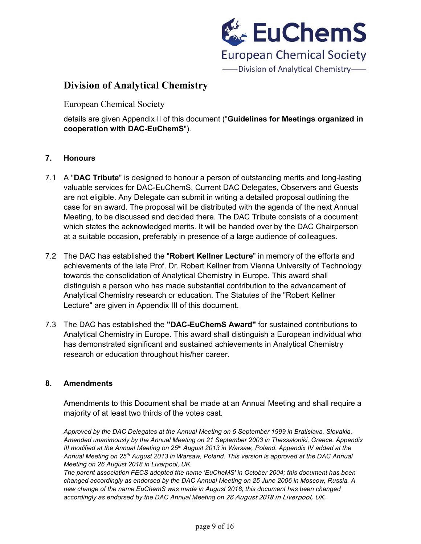

European Chemical Society

details are given Appendix II of this document ("**Guidelines for Meetings organized in cooperation with DAC-EuChemS**").

### **7. Honours**

- 7.1 A "**DAC Tribute**" is designed to honour a person of outstanding merits and long-lasting valuable services for DAC-EuChemS. Current DAC Delegates, Observers and Guests are not eligible. Any Delegate can submit in writing a detailed proposal outlining the case for an award. The proposal will be distributed with the agenda of the next Annual Meeting, to be discussed and decided there. The DAC Tribute consists of a document which states the acknowledged merits. It will be handed over by the DAC Chairperson at a suitable occasion, preferably in presence of a large audience of colleagues.
- 7.2 The DAC has established the "**Robert Kellner Lecture**" in memory of the efforts and achievements of the late Prof. Dr. Robert Kellner from Vienna University of Technology towards the consolidation of Analytical Chemistry in Europe. This award shall distinguish a person who has made substantial contribution to the advancement of Analytical Chemistry research or education. The Statutes of the "Robert Kellner Lecture" are given in Appendix III of this document.
- 7.3 The DAC has established the **"DAC-EuChemS Award"** for sustained contributions to Analytical Chemistry in Europe. This award shall distinguish a European individual who has demonstrated significant and sustained achievements in Analytical Chemistry research or education throughout his/her career.

### **8. Amendments**

Amendments to this Document shall be made at an Annual Meeting and shall require a majority of at least two thirds of the votes cast.

*Approved by the DAC Delegates at the Annual Meeting on 5 September 1999 in Bratislava, Slovakia. Amended unanimously by the Annual Meeting on 21 September 2003 in Thessaloniki, Greece. Appendix III modified at the Annual Meeting on 25th August 2013 in Warsaw, Poland. Appendix IV added at the Annual Meeting on 25th August 2013 in Warsaw, Poland. This version is approved at the DAC Annual Meeting on 26 August 2018 in Liverpool, UK.*

*The parent association FECS adopted the name 'EuCheMS' in October 2004; this document has been changed accordingly as endorsed by the DAC Annual Meeting on 25 June 2006 in Moscow, Russia. A new change of the name EuChemS was made in August 2018; this document has been changed accordingly as endorsed by the DAC Annual Meeting on* 26 August 2018 in Liverpool, UK.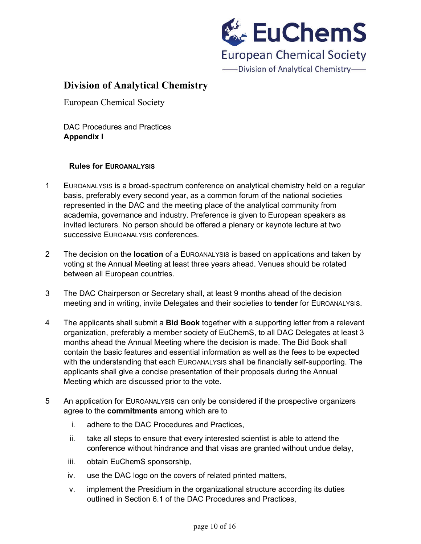

European Chemical Society

DAC Procedures and Practices **Appendix I**

### **Rules for EUROANALYSIS**

- 1 EUROANALYSIS is a broad-spectrum conference on analytical chemistry held on a regular basis, preferably every second year, as a common forum of the national societies represented in the DAC and the meeting place of the analytical community from academia, governance and industry. Preference is given to European speakers as invited lecturers. No person should be offered a plenary or keynote lecture at two successive EUROANALYSIS conferences.
- 2 The decision on the **location** of a EUROANALYSIS is based on applications and taken by voting at the Annual Meeting at least three years ahead. Venues should be rotated between all European countries.
- 3 The DAC Chairperson or Secretary shall, at least 9 months ahead of the decision meeting and in writing, invite Delegates and their societies to **tender** for EUROANALYSIS.
- 4 The applicants shall submit a **Bid Book** together with a supporting letter from a relevant organization, preferably a member society of EuChemS, to all DAC Delegates at least 3 months ahead the Annual Meeting where the decision is made. The Bid Book shall contain the basic features and essential information as well as the fees to be expected with the understanding that each EUROANALYSIS shall be financially self-supporting. The applicants shall give a concise presentation of their proposals during the Annual Meeting which are discussed prior to the vote.
- 5 An application for EUROANALYSIS can only be considered if the prospective organizers agree to the **commitments** among which are to
	- i. adhere to the DAC Procedures and Practices,
	- ii. take all steps to ensure that every interested scientist is able to attend the conference without hindrance and that visas are granted without undue delay,
	- iii. obtain EuChemS sponsorship,
	- iv. use the DAC logo on the covers of related printed matters,
	- v. implement the Presidium in the organizational structure according its duties outlined in Section 6.1 of the DAC Procedures and Practices,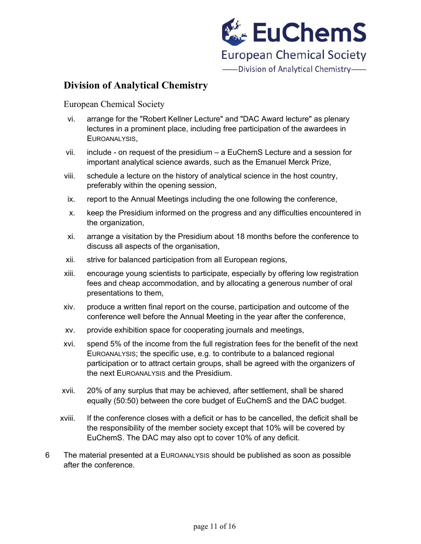

European Chemical Society

- vi. arrange for the "Robert Kellner Lecture" and "DAC Award lecture" as plenary lectures in a prominent place, including free participation of the awardees in EUROANALYSIS,
- vii. include on request of the presidium  $-$  a EuChemS Lecture and a session for important analytical science awards, such as the Emanuel Merck Prize,
- viii. schedule a lecture on the history of analytical science in the host country, preferably within the opening session,
- ix. report to the Annual Meetings including the one following the conference,
- x. keep the Presidium informed on the progress and any difficulties encountered in the organization,
- xi. arrange a visitation by the Presidium about 18 months before the conference to discuss all aspects of the organisation,
- xii. strive for balanced participation from all European regions,
- xiii. encourage young scientists to participate, especially by offering low registration fees and cheap accommodation, and by allocating a generous number of oral presentations to them,
- xiv. produce a written final report on the course, participation and outcome of the conference well before the Annual Meeting in the year after the conference,
- xv. provide exhibition space for cooperating journals and meetings,
- xvi. spend 5% of the income from the full registration fees for the benefit of the next EUROANALYSIS; the specific use, e.g. to contribute to a balanced regional participation or to attract certain groups, shall be agreed with the organizers of the next EUROANALYSIS and the Presidium.
- xvii. 20% of any surplus that may be achieved, after settlement, shall be shared equally (50:50) between the core budget of EuChemS and the DAC budget.
- xviii. If the conference closes with a deficit or has to be cancelled, the deficit shall be the responsibility of the member society except that 10% will be covered by EuChemS. The DAC may also opt to cover 10% of any deficit.
- 6 The material presented at a EUROANALYSIS should be published as soon as possible after the conference.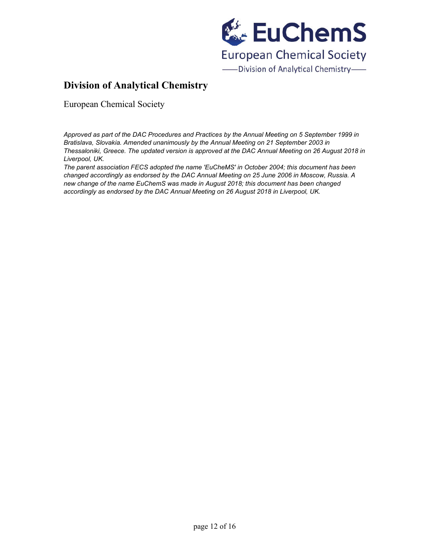

European Chemical Society

*Approved as part of the DAC Procedures and Practices by the Annual Meeting on 5 September 1999 in Bratislava, Slovakia. Amended unanimously by the Annual Meeting on 21 September 2003 in Thessaloniki, Greece. The updated version is approved at the DAC Annual Meeting on 26 August 2018 in Liverpool, UK.*

*The parent association FECS adopted the name 'EuCheMS' in October 2004; this document has been changed accordingly as endorsed by the DAC Annual Meeting on 25 June 2006 in Moscow, Russia. A new change of the name EuChemS was made in August 2018; this document has been changed accordingly as endorsed by the DAC Annual Meeting on 26 August 2018 in Liverpool, UK.*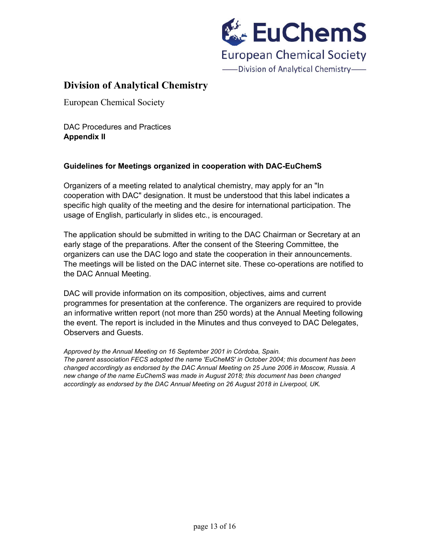

European Chemical Society

DAC Procedures and Practices **Appendix II**

### **Guidelines for Meetings organized in cooperation with DAC-EuChemS**

Organizers of a meeting related to analytical chemistry, may apply for an "In cooperation with DAC" designation. It must be understood that this label indicates a specific high quality of the meeting and the desire for international participation. The usage of English, particularly in slides etc., is encouraged.

The application should be submitted in writing to the DAC Chairman or Secretary at an early stage of the preparations. After the consent of the Steering Committee, the organizers can use the DAC logo and state the cooperation in their announcements. The meetings will be listed on the DAC internet site. These co-operations are notified to the DAC Annual Meeting.

DAC will provide information on its composition, objectives, aims and current programmes for presentation at the conference. The organizers are required to provide an informative written report (not more than 250 words) at the Annual Meeting following the event. The report is included in the Minutes and thus conveyed to DAC Delegates, Observers and Guests.

*Approved by the Annual Meeting on 16 September 2001 in Córdoba, Spain.*

*The parent association FECS adopted the name 'EuCheMS' in October 2004; this document has been changed accordingly as endorsed by the DAC Annual Meeting on 25 June 2006 in Moscow, Russia. A new change of the name EuChemS was made in August 2018; this document has been changed accordingly as endorsed by the DAC Annual Meeting on 26 August 2018 in Liverpool, UK.*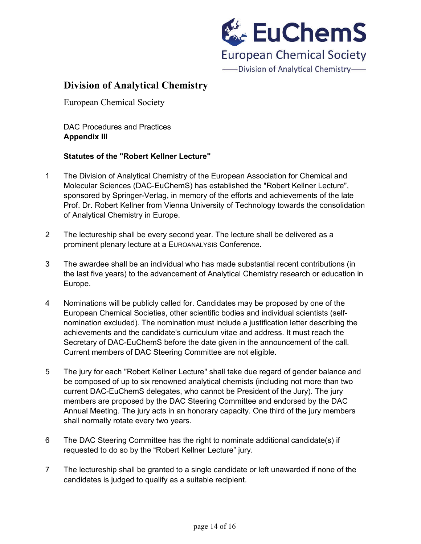

European Chemical Society

DAC Procedures and Practices **Appendix III**

### **Statutes of the "Robert Kellner Lecture"**

- 1 The Division of Analytical Chemistry of the European Association for Chemical and Molecular Sciences (DAC-EuChemS) has established the "Robert Kellner Lecture", sponsored by Springer-Verlag, in memory of the efforts and achievements of the late Prof. Dr. Robert Kellner from Vienna University of Technology towards the consolidation of Analytical Chemistry in Europe.
- 2 The lectureship shall be every second year. The lecture shall be delivered as a prominent plenary lecture at a EUROANALYSIS Conference.
- 3 The awardee shall be an individual who has made substantial recent contributions (in the last five years) to the advancement of Analytical Chemistry research or education in Europe.
- 4 Nominations will be publicly called for. Candidates may be proposed by one of the European Chemical Societies, other scientific bodies and individual scientists (selfnomination excluded). The nomination must include a justification letter describing the achievements and the candidate's curriculum vitae and address. It must reach the Secretary of DAC-EuChemS before the date given in the announcement of the call. Current members of DAC Steering Committee are not eligible.
- 5 The jury for each "Robert Kellner Lecture" shall take due regard of gender balance and be composed of up to six renowned analytical chemists (including not more than two current DAC-EuChemS delegates, who cannot be President of the Jury). The jury members are proposed by the DAC Steering Committee and endorsed by the DAC Annual Meeting. The jury acts in an honorary capacity. One third of the jury members shall normally rotate every two years.
- 6 The DAC Steering Committee has the right to nominate additional candidate(s) if requested to do so by the "Robert Kellner Lecture" jury.
- 7 The lectureship shall be granted to a single candidate or left unawarded if none of the candidates is judged to qualify as a suitable recipient.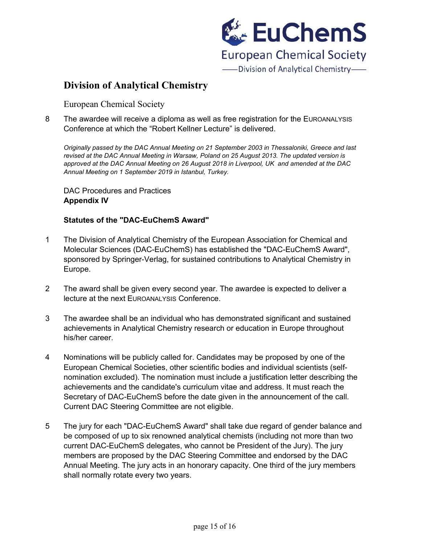

European Chemical Society

8 The awardee will receive a diploma as well as free registration for the EUROANALYSIS Conference at which the "Robert Kellner Lecture" is delivered.

*Originally passed by the DAC Annual Meeting on 21 September 2003 in Thessaloniki, Greece and last revised at the DAC Annual Meeting in Warsaw, Poland on 25 August 2013. The updated version is approved at the DAC Annual Meeting on 26 August 2018 in Liverpool, UK and amended at the DAC Annual Meeting on 1 September 2019 in Istanbul, Turkey.*

DAC Procedures and Practices **Appendix IV**

### **Statutes of the "DAC-EuChemS Award"**

- 1 The Division of Analytical Chemistry of the European Association for Chemical and Molecular Sciences (DAC-EuChemS) has established the "DAC-EuChemS Award", sponsored by Springer-Verlag, for sustained contributions to Analytical Chemistry in Europe.
- 2 The award shall be given every second year. The awardee is expected to deliver a lecture at the next EUROANALYSIS Conference.
- 3 The awardee shall be an individual who has demonstrated significant and sustained achievements in Analytical Chemistry research or education in Europe throughout his/her career.
- 4 Nominations will be publicly called for. Candidates may be proposed by one of the European Chemical Societies, other scientific bodies and individual scientists (selfnomination excluded). The nomination must include a justification letter describing the achievements and the candidate's curriculum vitae and address. It must reach the Secretary of DAC-EuChemS before the date given in the announcement of the call. Current DAC Steering Committee are not eligible.
- 5 The jury for each "DAC-EuChemS Award" shall take due regard of gender balance and be composed of up to six renowned analytical chemists (including not more than two current DAC-EuChemS delegates, who cannot be President of the Jury). The jury members are proposed by the DAC Steering Committee and endorsed by the DAC Annual Meeting. The jury acts in an honorary capacity. One third of the jury members shall normally rotate every two years.